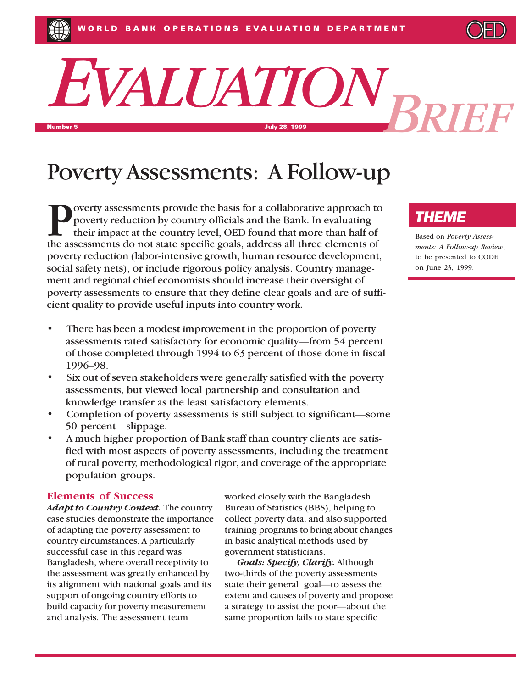# *EVALUATION* Number 5 July 28, 1999 *BRIEF*

## Poverty Assessments: A Follow-up

overty assessments provide the basis for a collaborative approach to poverty reduction by country officials and the Bank. In evaluating their impact at the country level, OED found that more than half of the assessments do not state specific goals, address all three elements of poverty reduction (labor-intensive growth, human resource development, social safety nets), or include rigorous policy analysis. Country management and regional chief economists should increase their oversight of poverty assessments to ensure that they define clear goals and are of sufficient quality to provide useful inputs into country work.

- There has been a modest improvement in the proportion of poverty assessments rated satisfactory for economic quality—from 54 percent of those completed through 1994 to 63 percent of those done in fiscal 1996-98.
- Six out of seven stakeholders were generally satisfied with the poverty assessments, but viewed local partnership and consultation and knowledge transfer as the least satisfactory elements.
- Completion of poverty assessments is still subject to significant—some 50 percent—slippage.
- A much higher proportion of Bank staff than country clients are satisfied with most aspects of poverty assessments, including the treatment of rural poverty, methodological rigor, and coverage of the appropriate population groups.

#### **Elements of Success**

*Adapt to Country Context.* The country case studies demonstrate the importance of adapting the poverty assessment to country circumstances. A particularly successful case in this regard was Bangladesh, where overall receptivity to the assessment was greatly enhanced by its alignment with national goals and its support of ongoing country efforts to build capacity for poverty measurement and analysis. The assessment team

worked closely with the Bangladesh Bureau of Statistics (BBS), helping to collect poverty data, and also supported training programs to bring about changes in basic analytical methods used by government statisticians.

*Goals: Specify, Clarify.* Although two-thirds of the poverty assessments state their general goal—to assess the extent and causes of poverty and propose a strategy to assist the poor-about the same proportion fails to state specific

### *THEME*

Based on *Poverty Assessments: A Follow-up Review*, to be presented to CODE on June 23, 1999.

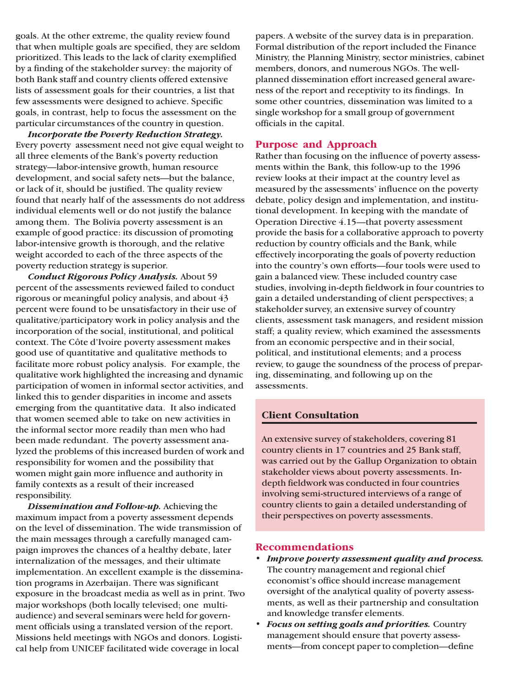goals. At the other extreme, the quality review found that when multiple goals are specified, they are seldom prioritized. This leads to the lack of clarity exemplified by a finding of the stakeholder survey: the majority of both Bank staff and country clients offered extensive lists of assessment goals for their countries, a list that few assessments were designed to achieve. Specific goals, in contrast, help to focus the assessment on the particular circumstances of the country in question.

*Incorporate the Poverty Reduction Strategy.* Every poverty assessment need not give equal weight to all three elements of the Bank's poverty reduction strategy-labor-intensive growth, human resource development, and social safety nets—but the balance, or lack of it, should be justified. The quality review found that nearly half of the assessments do not address individual elements well or do not justify the balance among them. The Bolivia poverty assessment is an example of good practice: its discussion of promoting labor-intensive growth is thorough, and the relative weight accorded to each of the three aspects of the poverty reduction strategy is superior.

*Conduct Rigorous Policy Analysis.* About 59 percent of the assessments reviewed failed to conduct rigorous or meaningful policy analysis, and about 43 percent were found to be unsatisfactory in their use of qualitative/participatory work in policy analysis and the incorporation of the social, institutional, and political context. The Côte d'Ivoire poverty assessment makes good use of quantitative and qualitative methods to facilitate more robust policy analysis. For example, the qualitative work highlighted the increasing and dynamic participation of women in informal sector activities, and linked this to gender disparities in income and assets emerging from the quantitative data. It also indicated that women seemed able to take on new activities in the informal sector more readily than men who had been made redundant. The poverty assessment analyzed the problems of this increased burden of work and responsibility for women and the possibility that women might gain more influence and authority in family contexts as a result of their increased responsibility.

*Dissemination and Follow-up.* Achieving the maximum impact from a poverty assessment depends on the level of dissemination. The wide transmission of the main messages through a carefully managed campaign improves the chances of a healthy debate, later internalization of the messages, and their ultimate implementation. An excellent example is the dissemination programs in Azerbaijan. There was significant exposure in the broadcast media as well as in print. Two major workshops (both locally televised; one multiaudience) and several seminars were held for government officials using a translated version of the report. Missions held meetings with NGOs and donors. Logistical help from UNICEF facilitated wide coverage in local

papers. A website of the survey data is in preparation. Formal distribution of the report included the Finance Ministry, the Planning Ministry, sector ministries, cabinet members, donors, and numerous NGOs. The wellplanned dissemination effort increased general awareness of the report and receptivity to its findings. In some other countries, dissemination was limited to a single workshop for a small group of government officials in the capital.

#### **Purpose and Approach**

Rather than focusing on the influence of poverty assessments within the Bank, this follow-up to the 1996 review looks at their impact at the country level as measured by the assessments' influence on the poverty debate, policy design and implementation, and institutional development. In keeping with the mandate of Operation Directive  $4.15$ —that poverty assessment provide the basis for a collaborative approach to poverty reduction by country officials and the Bank, while effectively incorporating the goals of poverty reduction into the country's own efforts—four tools were used to gain a balanced view. These included country case studies, involving in-depth fieldwork in four countries to gain a detailed understanding of client perspectives; a stakeholder survey, an extensive survey of country clients, assessment task managers, and resident mission staff; a quality review, which examined the assessments from an economic perspective and in their social, political, and institutional elements; and a process review, to gauge the soundness of the process of preparing, disseminating, and following up on the assessments.

#### **Client Consultation**

An extensive survey of stakeholders, covering 81 country clients in 17 countries and 25 Bank staff, was carried out by the Gallup Organization to obtain stakeholder views about poverty assessments. Indepth fieldwork was conducted in four countries involving semi-structured interviews of a range of country clients to gain a detailed understanding of their perspectives on poverty assessments.

#### **Recommendations**

- *Improve poverty assessment quality and process.* The country management and regional chief economist's office should increase management oversight of the analytical quality of poverty assessments, as well as their partnership and consultation and knowledge transfer elements.
- *Focus on setting goals and priorities.* Country management should ensure that poverty assessments—from concept paper to completion—define